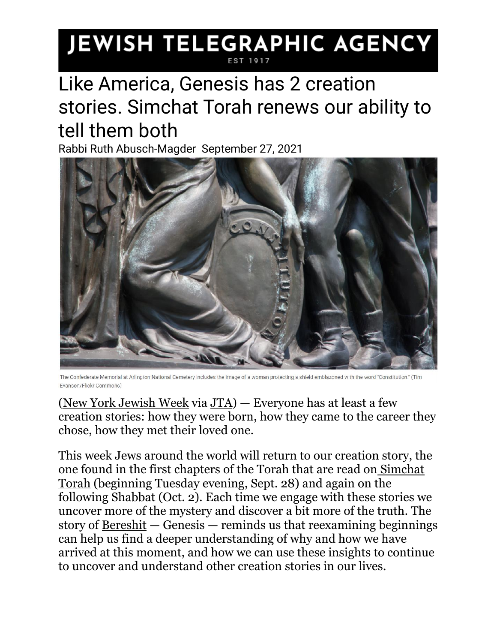## **JEWISH TELEGRAPHIC AGENCY**

## Like America, Genesis has 2 creation stories. Simchat Torah renews our ability to tell them both

Rabbi Ruth Abusch-Magder September 27, 2021



The Confederate Memorial at Arlington National Cemetery includes the image of a woman protecting a shield emblazoned with the word "Constitution." (Tim Evanson/Flickr Commons)

[\(New York Jewish Week](https://jewishweek.timesofisrael.com/) via [JTA\)](http://jta.org/) — Everyone has at least a few creation stories: how they were born, how they came to the career they chose, how they met their loved one.

This week Jews around the world will return to our creation story, the one found in the first chapters of the Torah that are read on [Simchat](https://www.myjewishlearning.com/article/the-torah-service-for-simchat-torah/)  [Torah](https://www.myjewishlearning.com/article/the-torah-service-for-simchat-torah/) (beginning Tuesday evening, Sept. 28) and again on the following Shabbat (Oct. 2). Each time we engage with these stories we uncover more of the mystery and discover a bit more of the truth. The story of  $Bereshit - Genesis - reminds us that reexamining beginning$  $Bereshit - Genesis - reminds us that reexamining beginning$ can help us find a deeper understanding of why and how we have arrived at this moment, and how we can use these insights to continue to uncover and understand other creation stories in our lives.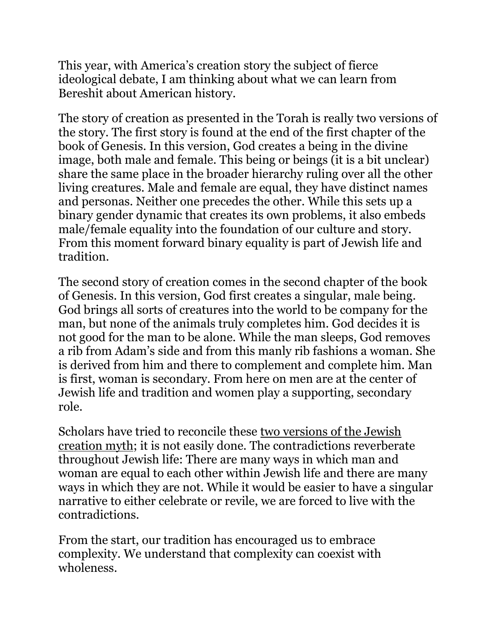This year, with America's creation story the subject of fierce ideological debate, I am thinking about what we can learn from Bereshit about American history.

The story of creation as presented in the Torah is really two versions of the story. The first story is found at the end of the first chapter of the book of Genesis. In this version, God creates a being in the divine image, both male and female. This being or beings (it is a bit unclear) share the same place in the broader hierarchy ruling over all the other living creatures. Male and female are equal, they have distinct names and personas. Neither one precedes the other. While this sets up a binary gender dynamic that creates its own problems, it also embeds male/female equality into the foundation of our culture and story. From this moment forward binary equality is part of Jewish life and tradition.

The second story of creation comes in the second chapter of the book of Genesis. In this version, God first creates a singular, male being. God brings all sorts of creatures into the world to be company for the man, but none of the animals truly completes him. God decides it is not good for the man to be alone. While the man sleeps, God removes a rib from Adam's side and from this manly rib fashions a woman. She is derived from him and there to complement and complete him. Man is first, woman is secondary. From here on men are at the center of Jewish life and tradition and women play a supporting, secondary role.

Scholars have tried to reconcile these [two versions of the Jewish](https://www.myjewishlearning.com/article/the-two-creation-stories/)  [creation myth;](https://www.myjewishlearning.com/article/the-two-creation-stories/) it is not easily done. The contradictions reverberate throughout Jewish life: There are many ways in which man and woman are equal to each other within Jewish life and there are many ways in which they are not. While it would be easier to have a singular narrative to either celebrate or revile, we are forced to live with the contradictions.

From the start, our tradition has encouraged us to embrace complexity. We understand that complexity can coexist with wholeness.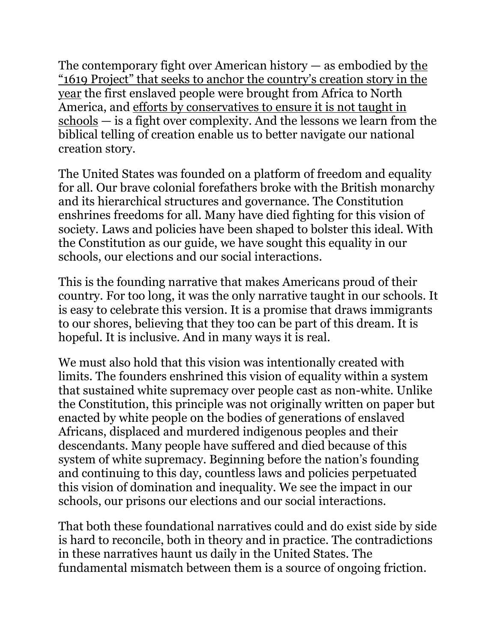The contemporary fight over American history  $-$  as embodied by the ["1619 Project" that seeks to anchor the country's creation story in the](https://www.washingtonpost.com/lifestyle/style/1619-project-took-over-2020-inside-story/2020/10/13/af537092-00df-11eb-897d-3a6201d6643f_story.html)  [year](https://www.washingtonpost.com/lifestyle/style/1619-project-took-over-2020-inside-story/2020/10/13/af537092-00df-11eb-897d-3a6201d6643f_story.html) the first enslaved people were brought from Africa to North America, and [efforts by conservatives to ensure it is not taught in](https://www.theatlantic.com/ideas/archive/2021/05/why-conservatives-want-cancel-1619-project/618952/)  [schools](https://www.theatlantic.com/ideas/archive/2021/05/why-conservatives-want-cancel-1619-project/618952/) — is a fight over complexity. And the lessons we learn from the biblical telling of creation enable us to better navigate our national creation story.

The United States was founded on a platform of freedom and equality for all. Our brave colonial forefathers broke with the British monarchy and its hierarchical structures and governance. The Constitution enshrines freedoms for all. Many have died fighting for this vision of society. Laws and policies have been shaped to bolster this ideal. With the Constitution as our guide, we have sought this equality in our schools, our elections and our social interactions.

This is the founding narrative that makes Americans proud of their country. For too long, it was the only narrative taught in our schools. It is easy to celebrate this version. It is a promise that draws immigrants to our shores, believing that they too can be part of this dream. It is hopeful. It is inclusive. And in many ways it is real.

We must also hold that this vision was intentionally created with limits. The founders enshrined this vision of equality within a system that sustained white supremacy over people cast as non-white. Unlike the Constitution, this principle was not originally written on paper but enacted by white people on the bodies of generations of enslaved Africans, displaced and murdered indigenous peoples and their descendants. Many people have suffered and died because of this system of white supremacy. Beginning before the nation's founding and continuing to this day, countless laws and policies perpetuated this vision of domination and inequality. We see the impact in our schools, our prisons our elections and our social interactions.

That both these foundational narratives could and do exist side by side is hard to reconcile, both in theory and in practice. The contradictions in these narratives haunt us daily in the United States. The fundamental mismatch between them is a source of ongoing friction.